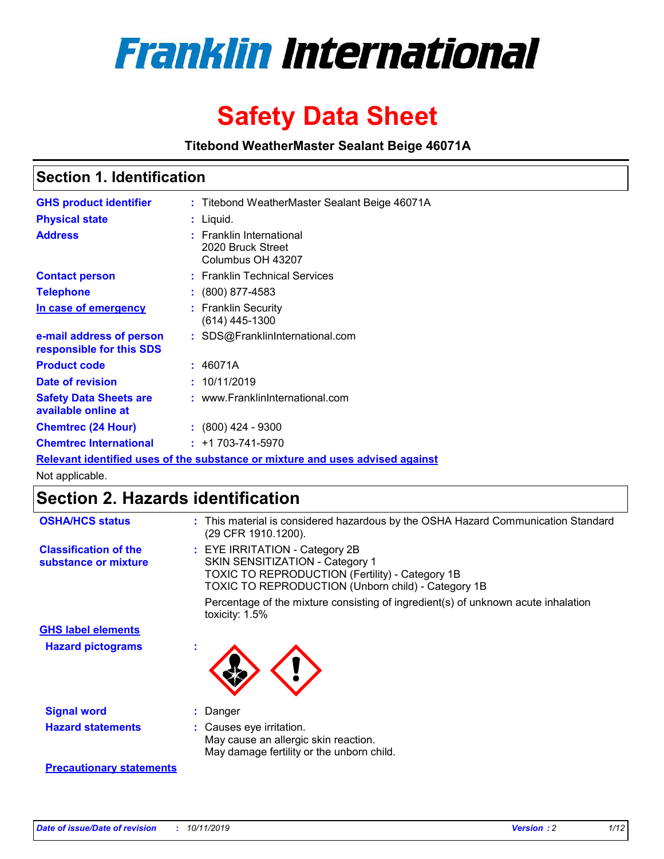

# **Safety Data Sheet**

**Titebond WeatherMaster Sealant Beige 46071A**

## **Section 1. Identification**

| <b>GHS product identifier</b>                        | : Titebond WeatherMaster Sealant Beige 46071A                                 |
|------------------------------------------------------|-------------------------------------------------------------------------------|
| <b>Physical state</b>                                | : Liquid.                                                                     |
| <b>Address</b>                                       | : Franklin International<br>2020 Bruck Street<br>Columbus OH 43207            |
| <b>Contact person</b>                                | : Franklin Technical Services                                                 |
| <b>Telephone</b>                                     | $\colon$ (800) 877-4583                                                       |
| In case of emergency                                 | : Franklin Security<br>(614) 445-1300                                         |
| e-mail address of person<br>responsible for this SDS | : SDS@FranklinInternational.com                                               |
| <b>Product code</b>                                  | : 46071A                                                                      |
| Date of revision                                     | : 10/11/2019                                                                  |
| <b>Safety Data Sheets are</b><br>available online at | : www.FranklinInternational.com                                               |
| <b>Chemtrec (24 Hour)</b>                            | $\div$ (800) 424 - 9300                                                       |
| <b>Chemtrec International</b>                        | $: +1703 - 741 - 5970$                                                        |
|                                                      | Relevant identified uses of the substance or mixture and uses advised against |

Not applicable.

# **Section 2. Hazards identification**

| <b>OSHA/HCS status</b>                               | : This material is considered hazardous by the OSHA Hazard Communication Standard<br>(29 CFR 1910.1200).                                                                          |
|------------------------------------------------------|-----------------------------------------------------------------------------------------------------------------------------------------------------------------------------------|
| <b>Classification of the</b><br>substance or mixture | : EYE IRRITATION - Category 2B<br>SKIN SENSITIZATION - Category 1<br><b>TOXIC TO REPRODUCTION (Fertility) - Category 1B</b><br>TOXIC TO REPRODUCTION (Unborn child) - Category 1B |
|                                                      | Percentage of the mixture consisting of ingredient(s) of unknown acute inhalation<br>toxicity: $1.5\%$                                                                            |
| <b>GHS label elements</b>                            |                                                                                                                                                                                   |
| <b>Hazard pictograms</b>                             |                                                                                                                                                                                   |
| <b>Signal word</b>                                   | : Danger                                                                                                                                                                          |
| <b>Hazard statements</b>                             | : Causes eye irritation.<br>May cause an allergic skin reaction.<br>May damage fertility or the unborn child.                                                                     |
| <b>Precautionary statements</b>                      |                                                                                                                                                                                   |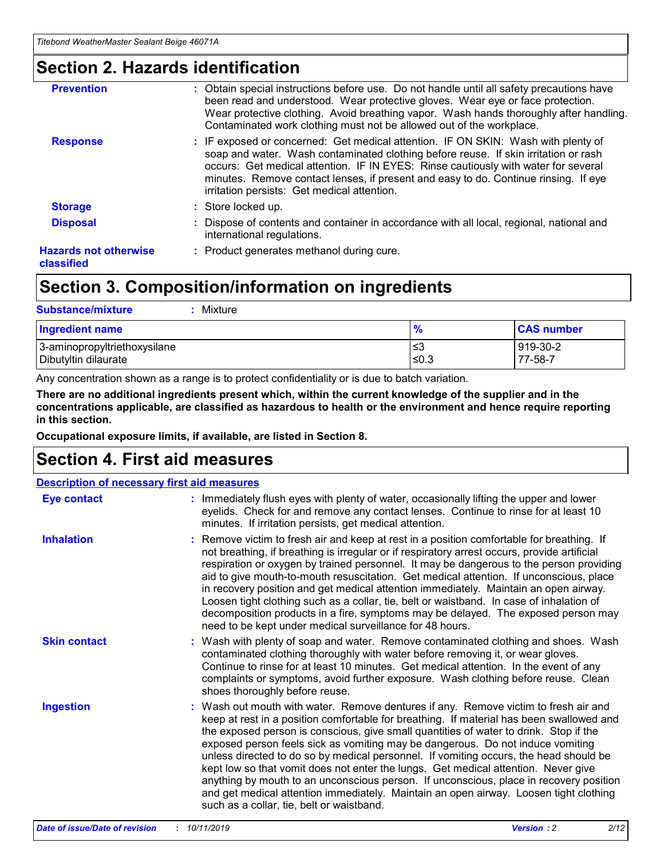# **Section 2. Hazards identification**

| <b>Prevention</b>                          | : Obtain special instructions before use. Do not handle until all safety precautions have<br>been read and understood. Wear protective gloves. Wear eye or face protection.<br>Wear protective clothing. Avoid breathing vapor. Wash hands thoroughly after handling.<br>Contaminated work clothing must not be allowed out of the workplace.                                                        |
|--------------------------------------------|------------------------------------------------------------------------------------------------------------------------------------------------------------------------------------------------------------------------------------------------------------------------------------------------------------------------------------------------------------------------------------------------------|
| <b>Response</b>                            | : IF exposed or concerned: Get medical attention. IF ON SKIN: Wash with plenty of<br>soap and water. Wash contaminated clothing before reuse. If skin irritation or rash<br>occurs: Get medical attention. IF IN EYES: Rinse cautiously with water for several<br>minutes. Remove contact lenses, if present and easy to do. Continue rinsing. If eye<br>irritation persists: Get medical attention. |
| <b>Storage</b>                             | : Store locked up.                                                                                                                                                                                                                                                                                                                                                                                   |
| <b>Disposal</b>                            | : Dispose of contents and container in accordance with all local, regional, national and<br>international regulations.                                                                                                                                                                                                                                                                               |
| <b>Hazards not otherwise</b><br>classified | : Product generates methanol during cure.                                                                                                                                                                                                                                                                                                                                                            |
|                                            |                                                                                                                                                                                                                                                                                                                                                                                                      |

# **Section 3. Composition/information on ingredients**

| <b>Substance/mixture</b><br>Mixture                  |                   |                     |
|------------------------------------------------------|-------------------|---------------------|
| <b>Ingredient name</b>                               | $\frac{9}{6}$     | <b>CAS number</b>   |
| 3-aminopropyltriethoxysilane<br>Dibutyltin dilaurate | l≤3<br>$\leq 0.3$ | 919-30-2<br>77-58-7 |

Any concentration shown as a range is to protect confidentiality or is due to batch variation.

**There are no additional ingredients present which, within the current knowledge of the supplier and in the concentrations applicable, are classified as hazardous to health or the environment and hence require reporting in this section.**

**Occupational exposure limits, if available, are listed in Section 8.**

# **Section 4. First aid measures**

| <b>Description of necessary first aid measures</b> |                                                                                                                                                                                                                                                                                                                                                                                                                                                                                                                                                                                                                                                                                                                                                                           |  |  |  |
|----------------------------------------------------|---------------------------------------------------------------------------------------------------------------------------------------------------------------------------------------------------------------------------------------------------------------------------------------------------------------------------------------------------------------------------------------------------------------------------------------------------------------------------------------------------------------------------------------------------------------------------------------------------------------------------------------------------------------------------------------------------------------------------------------------------------------------------|--|--|--|
| <b>Eye contact</b>                                 | : Immediately flush eyes with plenty of water, occasionally lifting the upper and lower<br>eyelids. Check for and remove any contact lenses. Continue to rinse for at least 10<br>minutes. If irritation persists, get medical attention.                                                                                                                                                                                                                                                                                                                                                                                                                                                                                                                                 |  |  |  |
| <b>Inhalation</b>                                  | : Remove victim to fresh air and keep at rest in a position comfortable for breathing. If<br>not breathing, if breathing is irregular or if respiratory arrest occurs, provide artificial<br>respiration or oxygen by trained personnel. It may be dangerous to the person providing<br>aid to give mouth-to-mouth resuscitation. Get medical attention. If unconscious, place<br>in recovery position and get medical attention immediately. Maintain an open airway.<br>Loosen tight clothing such as a collar, tie, belt or waistband. In case of inhalation of<br>decomposition products in a fire, symptoms may be delayed. The exposed person may<br>need to be kept under medical surveillance for 48 hours.                                                       |  |  |  |
| <b>Skin contact</b>                                | : Wash with plenty of soap and water. Remove contaminated clothing and shoes. Wash<br>contaminated clothing thoroughly with water before removing it, or wear gloves.<br>Continue to rinse for at least 10 minutes. Get medical attention. In the event of any<br>complaints or symptoms, avoid further exposure. Wash clothing before reuse. Clean<br>shoes thoroughly before reuse.                                                                                                                                                                                                                                                                                                                                                                                     |  |  |  |
| <b>Ingestion</b>                                   | : Wash out mouth with water. Remove dentures if any. Remove victim to fresh air and<br>keep at rest in a position comfortable for breathing. If material has been swallowed and<br>the exposed person is conscious, give small quantities of water to drink. Stop if the<br>exposed person feels sick as vomiting may be dangerous. Do not induce vomiting<br>unless directed to do so by medical personnel. If vomiting occurs, the head should be<br>kept low so that vomit does not enter the lungs. Get medical attention. Never give<br>anything by mouth to an unconscious person. If unconscious, place in recovery position<br>and get medical attention immediately. Maintain an open airway. Loosen tight clothing<br>such as a collar, tie, belt or waistband. |  |  |  |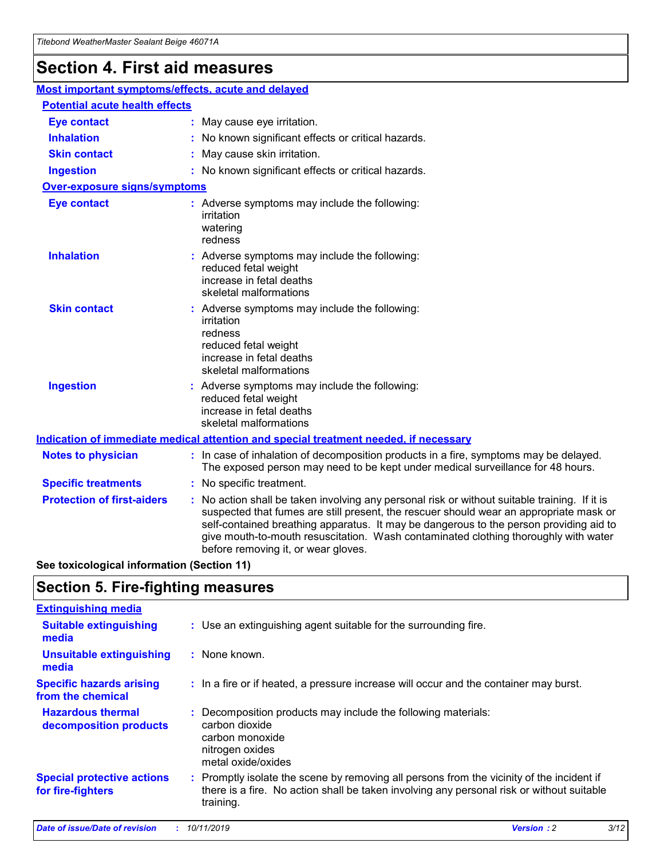# **Section 4. First aid measures**

| Most important symptoms/effects, acute and delayed |                                       |                                                                                                                                                                                                                                                                                                                                                                                                                 |  |  |  |
|----------------------------------------------------|---------------------------------------|-----------------------------------------------------------------------------------------------------------------------------------------------------------------------------------------------------------------------------------------------------------------------------------------------------------------------------------------------------------------------------------------------------------------|--|--|--|
|                                                    | <b>Potential acute health effects</b> |                                                                                                                                                                                                                                                                                                                                                                                                                 |  |  |  |
| <b>Eye contact</b>                                 |                                       | : May cause eye irritation.                                                                                                                                                                                                                                                                                                                                                                                     |  |  |  |
| <b>Inhalation</b>                                  |                                       | : No known significant effects or critical hazards.                                                                                                                                                                                                                                                                                                                                                             |  |  |  |
| <b>Skin contact</b>                                |                                       | : May cause skin irritation.                                                                                                                                                                                                                                                                                                                                                                                    |  |  |  |
| <b>Ingestion</b>                                   |                                       | : No known significant effects or critical hazards.                                                                                                                                                                                                                                                                                                                                                             |  |  |  |
| Over-exposure signs/symptoms                       |                                       |                                                                                                                                                                                                                                                                                                                                                                                                                 |  |  |  |
| <b>Eye contact</b>                                 |                                       | : Adverse symptoms may include the following:<br>irritation<br>watering<br>redness                                                                                                                                                                                                                                                                                                                              |  |  |  |
| <b>Inhalation</b>                                  |                                       | : Adverse symptoms may include the following:<br>reduced fetal weight<br>increase in fetal deaths<br>skeletal malformations                                                                                                                                                                                                                                                                                     |  |  |  |
| <b>Skin contact</b>                                |                                       | : Adverse symptoms may include the following:<br>irritation<br>redness<br>reduced fetal weight<br>increase in fetal deaths<br>skeletal malformations                                                                                                                                                                                                                                                            |  |  |  |
| <b>Ingestion</b>                                   |                                       | : Adverse symptoms may include the following:<br>reduced fetal weight<br>increase in fetal deaths<br>skeletal malformations                                                                                                                                                                                                                                                                                     |  |  |  |
|                                                    |                                       | <b>Indication of immediate medical attention and special treatment needed, if necessary</b>                                                                                                                                                                                                                                                                                                                     |  |  |  |
| <b>Notes to physician</b>                          |                                       | : In case of inhalation of decomposition products in a fire, symptoms may be delayed.<br>The exposed person may need to be kept under medical surveillance for 48 hours.                                                                                                                                                                                                                                        |  |  |  |
| <b>Specific treatments</b>                         |                                       | : No specific treatment.                                                                                                                                                                                                                                                                                                                                                                                        |  |  |  |
| <b>Protection of first-aiders</b>                  |                                       | : No action shall be taken involving any personal risk or without suitable training. If it is<br>suspected that fumes are still present, the rescuer should wear an appropriate mask or<br>self-contained breathing apparatus. It may be dangerous to the person providing aid to<br>give mouth-to-mouth resuscitation. Wash contaminated clothing thoroughly with water<br>before removing it, or wear gloves. |  |  |  |

**See toxicological information (Section 11)**

# **Section 5. Fire-fighting measures**

| <b>Extinguishing media</b>                             |                                                                                                                                                                                                     |
|--------------------------------------------------------|-----------------------------------------------------------------------------------------------------------------------------------------------------------------------------------------------------|
| <b>Suitable extinguishing</b><br>media                 | : Use an extinguishing agent suitable for the surrounding fire.                                                                                                                                     |
| <b>Unsuitable extinguishing</b><br>media               | $:$ None known.                                                                                                                                                                                     |
| <b>Specific hazards arising</b><br>from the chemical   | : In a fire or if heated, a pressure increase will occur and the container may burst.                                                                                                               |
| <b>Hazardous thermal</b><br>decomposition products     | : Decomposition products may include the following materials:<br>carbon dioxide<br>carbon monoxide<br>nitrogen oxides<br>metal oxide/oxides                                                         |
| <b>Special protective actions</b><br>for fire-fighters | : Promptly isolate the scene by removing all persons from the vicinity of the incident if<br>there is a fire. No action shall be taken involving any personal risk or without suitable<br>training. |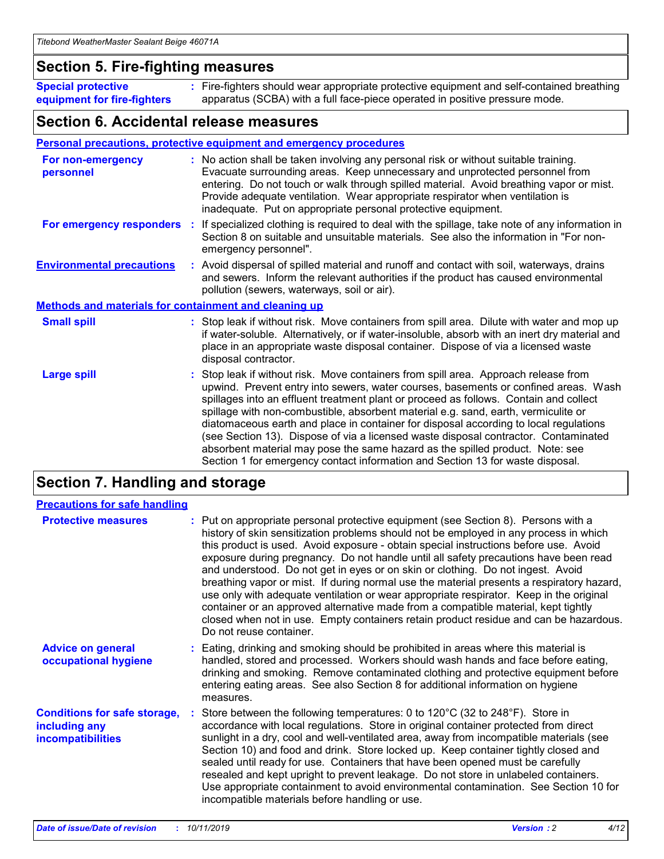## **Section 5. Fire-fighting measures**

**Special protective equipment for fire-fighters** Fire-fighters should wear appropriate protective equipment and self-contained breathing **:** apparatus (SCBA) with a full face-piece operated in positive pressure mode.

## **Section 6. Accidental release measures**

#### **Personal precautions, protective equipment and emergency procedures**

| For non-emergency<br>personnel                               | : No action shall be taken involving any personal risk or without suitable training.<br>Evacuate surrounding areas. Keep unnecessary and unprotected personnel from<br>entering. Do not touch or walk through spilled material. Avoid breathing vapor or mist.<br>Provide adequate ventilation. Wear appropriate respirator when ventilation is<br>inadequate. Put on appropriate personal protective equipment.                                                                                                                                                                                                                                                                                             |
|--------------------------------------------------------------|--------------------------------------------------------------------------------------------------------------------------------------------------------------------------------------------------------------------------------------------------------------------------------------------------------------------------------------------------------------------------------------------------------------------------------------------------------------------------------------------------------------------------------------------------------------------------------------------------------------------------------------------------------------------------------------------------------------|
|                                                              | For emergency responders : If specialized clothing is required to deal with the spillage, take note of any information in<br>Section 8 on suitable and unsuitable materials. See also the information in "For non-<br>emergency personnel".                                                                                                                                                                                                                                                                                                                                                                                                                                                                  |
| <b>Environmental precautions</b>                             | : Avoid dispersal of spilled material and runoff and contact with soil, waterways, drains<br>and sewers. Inform the relevant authorities if the product has caused environmental<br>pollution (sewers, waterways, soil or air).                                                                                                                                                                                                                                                                                                                                                                                                                                                                              |
| <b>Methods and materials for containment and cleaning up</b> |                                                                                                                                                                                                                                                                                                                                                                                                                                                                                                                                                                                                                                                                                                              |
| <b>Small spill</b>                                           | : Stop leak if without risk. Move containers from spill area. Dilute with water and mop up<br>if water-soluble. Alternatively, or if water-insoluble, absorb with an inert dry material and<br>place in an appropriate waste disposal container. Dispose of via a licensed waste<br>disposal contractor.                                                                                                                                                                                                                                                                                                                                                                                                     |
| <b>Large spill</b>                                           | : Stop leak if without risk. Move containers from spill area. Approach release from<br>upwind. Prevent entry into sewers, water courses, basements or confined areas. Wash<br>spillages into an effluent treatment plant or proceed as follows. Contain and collect<br>spillage with non-combustible, absorbent material e.g. sand, earth, vermiculite or<br>diatomaceous earth and place in container for disposal according to local regulations<br>(see Section 13). Dispose of via a licensed waste disposal contractor. Contaminated<br>absorbent material may pose the same hazard as the spilled product. Note: see<br>Section 1 for emergency contact information and Section 13 for waste disposal. |

# **Section 7. Handling and storage**

| <b>Precautions for safe handling</b>                                             |                                                                                                                                                                                                                                                                                                                                                                                                                                                                                                                                                                                                                                                                                                                                                                                                                                                  |
|----------------------------------------------------------------------------------|--------------------------------------------------------------------------------------------------------------------------------------------------------------------------------------------------------------------------------------------------------------------------------------------------------------------------------------------------------------------------------------------------------------------------------------------------------------------------------------------------------------------------------------------------------------------------------------------------------------------------------------------------------------------------------------------------------------------------------------------------------------------------------------------------------------------------------------------------|
| <b>Protective measures</b>                                                       | : Put on appropriate personal protective equipment (see Section 8). Persons with a<br>history of skin sensitization problems should not be employed in any process in which<br>this product is used. Avoid exposure - obtain special instructions before use. Avoid<br>exposure during pregnancy. Do not handle until all safety precautions have been read<br>and understood. Do not get in eyes or on skin or clothing. Do not ingest. Avoid<br>breathing vapor or mist. If during normal use the material presents a respiratory hazard,<br>use only with adequate ventilation or wear appropriate respirator. Keep in the original<br>container or an approved alternative made from a compatible material, kept tightly<br>closed when not in use. Empty containers retain product residue and can be hazardous.<br>Do not reuse container. |
| <b>Advice on general</b><br>occupational hygiene                                 | : Eating, drinking and smoking should be prohibited in areas where this material is<br>handled, stored and processed. Workers should wash hands and face before eating,<br>drinking and smoking. Remove contaminated clothing and protective equipment before<br>entering eating areas. See also Section 8 for additional information on hygiene<br>measures.                                                                                                                                                                                                                                                                                                                                                                                                                                                                                    |
| <b>Conditions for safe storage,</b><br>including any<br><b>incompatibilities</b> | : Store between the following temperatures: 0 to 120 $\degree$ C (32 to 248 $\degree$ F). Store in<br>accordance with local regulations. Store in original container protected from direct<br>sunlight in a dry, cool and well-ventilated area, away from incompatible materials (see<br>Section 10) and food and drink. Store locked up. Keep container tightly closed and<br>sealed until ready for use. Containers that have been opened must be carefully<br>resealed and kept upright to prevent leakage. Do not store in unlabeled containers.<br>Use appropriate containment to avoid environmental contamination. See Section 10 for<br>incompatible materials before handling or use.                                                                                                                                                   |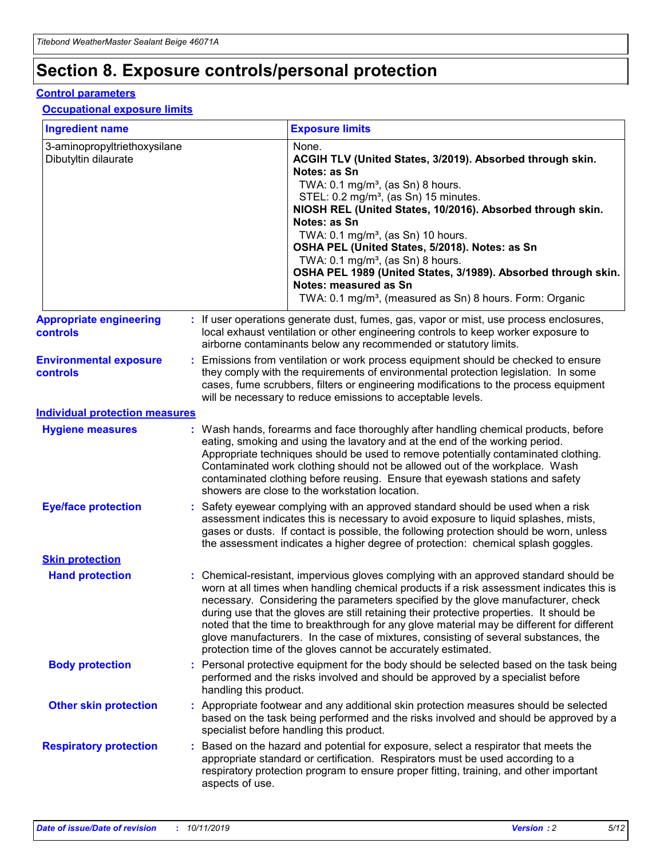# **Section 8. Exposure controls/personal protection**

#### **Control parameters**

#### **Occupational exposure limits**

| <b>Ingredient name</b>                               |    |                                          | <b>Exposure limits</b>                                                                                                                                                                                                                                                                                                                                                                                                                                                                                                                                                                                                 |
|------------------------------------------------------|----|------------------------------------------|------------------------------------------------------------------------------------------------------------------------------------------------------------------------------------------------------------------------------------------------------------------------------------------------------------------------------------------------------------------------------------------------------------------------------------------------------------------------------------------------------------------------------------------------------------------------------------------------------------------------|
| 3-aminopropyltriethoxysilane<br>Dibutyltin dilaurate |    |                                          | None.<br>ACGIH TLV (United States, 3/2019). Absorbed through skin.<br>Notes: as Sn<br>TWA: 0.1 mg/m <sup>3</sup> , (as Sn) 8 hours.<br>STEL: 0.2 mg/m <sup>3</sup> , (as Sn) 15 minutes.<br>NIOSH REL (United States, 10/2016). Absorbed through skin.<br>Notes: as Sn<br>TWA: 0.1 mg/m <sup>3</sup> , (as Sn) 10 hours.<br>OSHA PEL (United States, 5/2018). Notes: as Sn<br>TWA: $0.1 \text{ mg/m}^3$ , (as Sn) 8 hours.<br>OSHA PEL 1989 (United States, 3/1989). Absorbed through skin.<br>Notes: measured as Sn<br>TWA: 0.1 mg/m <sup>3</sup> , (measured as Sn) 8 hours. Form: Organic                           |
| <b>Appropriate engineering</b><br>controls           |    |                                          | : If user operations generate dust, fumes, gas, vapor or mist, use process enclosures,<br>local exhaust ventilation or other engineering controls to keep worker exposure to<br>airborne contaminants below any recommended or statutory limits.                                                                                                                                                                                                                                                                                                                                                                       |
| <b>Environmental exposure</b><br><b>controls</b>     |    |                                          | Emissions from ventilation or work process equipment should be checked to ensure<br>they comply with the requirements of environmental protection legislation. In some<br>cases, fume scrubbers, filters or engineering modifications to the process equipment<br>will be necessary to reduce emissions to acceptable levels.                                                                                                                                                                                                                                                                                          |
| <b>Individual protection measures</b>                |    |                                          |                                                                                                                                                                                                                                                                                                                                                                                                                                                                                                                                                                                                                        |
| <b>Hygiene measures</b>                              |    |                                          | : Wash hands, forearms and face thoroughly after handling chemical products, before<br>eating, smoking and using the lavatory and at the end of the working period.<br>Appropriate techniques should be used to remove potentially contaminated clothing.<br>Contaminated work clothing should not be allowed out of the workplace. Wash<br>contaminated clothing before reusing. Ensure that eyewash stations and safety<br>showers are close to the workstation location.                                                                                                                                            |
| <b>Eye/face protection</b>                           |    |                                          | : Safety eyewear complying with an approved standard should be used when a risk<br>assessment indicates this is necessary to avoid exposure to liquid splashes, mists,<br>gases or dusts. If contact is possible, the following protection should be worn, unless<br>the assessment indicates a higher degree of protection: chemical splash goggles.                                                                                                                                                                                                                                                                  |
| <b>Skin protection</b>                               |    |                                          |                                                                                                                                                                                                                                                                                                                                                                                                                                                                                                                                                                                                                        |
| <b>Hand protection</b>                               |    |                                          | : Chemical-resistant, impervious gloves complying with an approved standard should be<br>worn at all times when handling chemical products if a risk assessment indicates this is<br>necessary. Considering the parameters specified by the glove manufacturer, check<br>during use that the gloves are still retaining their protective properties. It should be<br>noted that the time to breakthrough for any glove material may be different for different<br>glove manufacturers. In the case of mixtures, consisting of several substances, the<br>protection time of the gloves cannot be accurately estimated. |
| <b>Body protection</b>                               |    | handling this product.                   | Personal protective equipment for the body should be selected based on the task being<br>performed and the risks involved and should be approved by a specialist before                                                                                                                                                                                                                                                                                                                                                                                                                                                |
| <b>Other skin protection</b>                         |    | specialist before handling this product. | : Appropriate footwear and any additional skin protection measures should be selected<br>based on the task being performed and the risks involved and should be approved by a                                                                                                                                                                                                                                                                                                                                                                                                                                          |
| <b>Respiratory protection</b>                        | ÷. | aspects of use.                          | Based on the hazard and potential for exposure, select a respirator that meets the<br>appropriate standard or certification. Respirators must be used according to a<br>respiratory protection program to ensure proper fitting, training, and other important                                                                                                                                                                                                                                                                                                                                                         |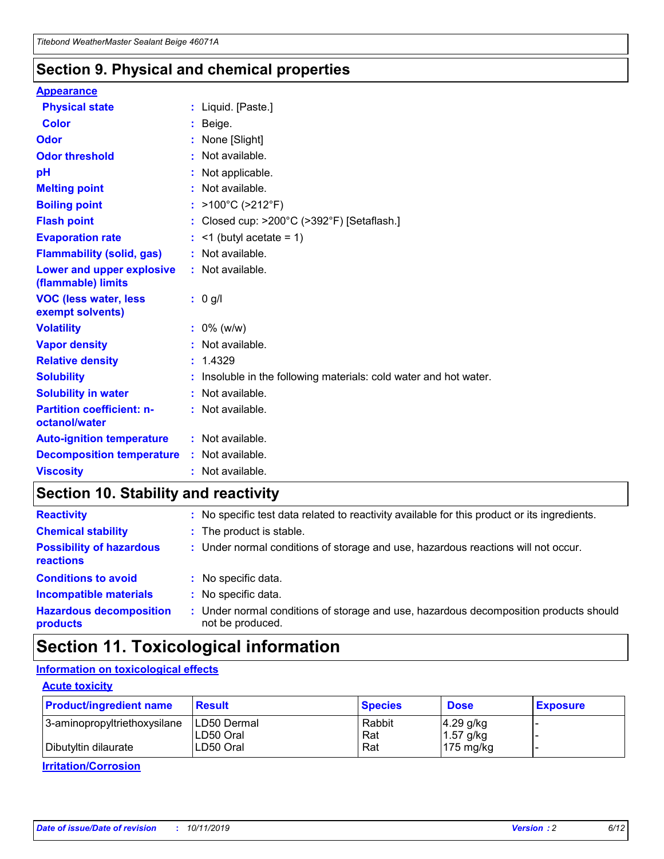## **Section 9. Physical and chemical properties**

#### **Appearance**

| <b>Physical state</b>                             | : Liquid. [Paste.]                                              |
|---------------------------------------------------|-----------------------------------------------------------------|
| Color                                             | Beige.                                                          |
| Odor                                              | None [Slight]                                                   |
| <b>Odor threshold</b>                             | : Not available.                                                |
| рH                                                | : Not applicable.                                               |
| <b>Melting point</b>                              | : Not available.                                                |
| <b>Boiling point</b>                              | : >100°C (>212°F)                                               |
| <b>Flash point</b>                                | : Closed cup: $>200^{\circ}$ C ( $>392^{\circ}$ F) [Setaflash.] |
| <b>Evaporation rate</b>                           | $:$ <1 (butyl acetate = 1)                                      |
| <b>Flammability (solid, gas)</b>                  | : Not available.                                                |
| Lower and upper explosive<br>(flammable) limits   | : Not available.                                                |
| <b>VOC (less water, less</b><br>exempt solvents)  | : 0 g/l                                                         |
| <b>Volatility</b>                                 | $: 0\%$ (w/w)                                                   |
| <b>Vapor density</b>                              | : Not available.                                                |
| <b>Relative density</b>                           | : 1.4329                                                        |
| <b>Solubility</b>                                 | Insoluble in the following materials: cold water and hot water. |
| <b>Solubility in water</b>                        | : Not available.                                                |
| <b>Partition coefficient: n-</b><br>octanol/water | $:$ Not available.                                              |
| <b>Auto-ignition temperature</b>                  | : Not available.                                                |
|                                                   |                                                                 |
| <b>Decomposition temperature</b>                  | : Not available.                                                |

# **Section 10. Stability and reactivity**

| <b>Reactivity</b>                            |    | : No specific test data related to reactivity available for this product or its ingredients.            |
|----------------------------------------------|----|---------------------------------------------------------------------------------------------------------|
| <b>Chemical stability</b>                    |    | : The product is stable.                                                                                |
| <b>Possibility of hazardous</b><br>reactions |    | : Under normal conditions of storage and use, hazardous reactions will not occur.                       |
| <b>Conditions to avoid</b>                   |    | : No specific data.                                                                                     |
| <b>Incompatible materials</b>                | ٠. | No specific data.                                                                                       |
| <b>Hazardous decomposition</b><br>products   | ÷. | Under normal conditions of storage and use, hazardous decomposition products should<br>not be produced. |

# **Section 11. Toxicological information**

## **Information on toxicological effects**

#### **Acute toxicity**

| <b>Product/ingredient name</b> | <b>Result</b>           | <b>Species</b> | <b>Dose</b>                | <b>Exposure</b> |
|--------------------------------|-------------------------|----------------|----------------------------|-----------------|
| 3-aminopropyltriethoxysilane   | <b>ILD50 Dermal</b>     | Rabbit         | 4.29 g/kg                  |                 |
| Dibutyltin dilaurate           | ILD50 Oral<br>LD50 Oral | Rat<br>Rat     | $1.57$ g/kg<br>175 $mg/kg$ |                 |
|                                |                         |                |                            |                 |

**Irritation/Corrosion**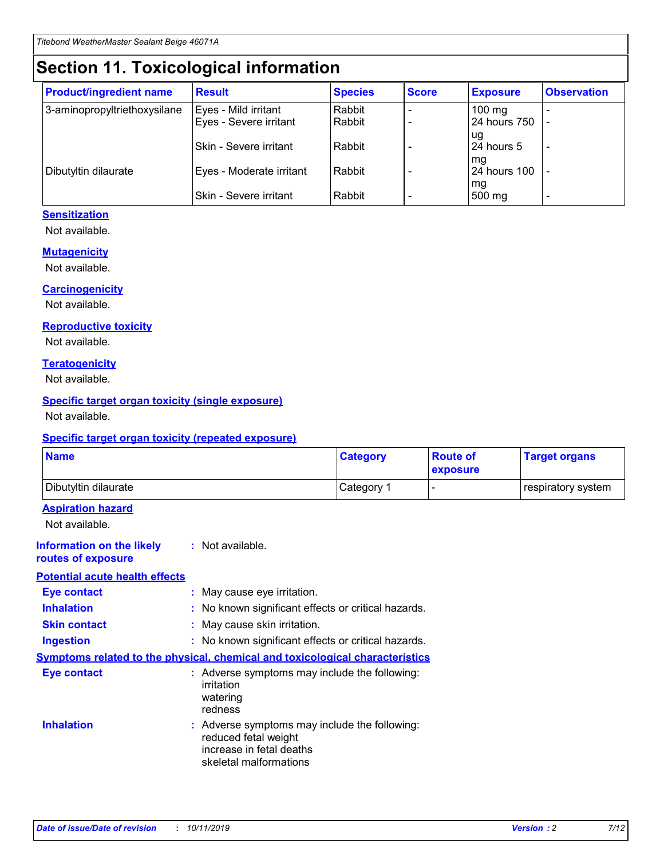# **Section 11. Toxicological information**

| <b>Product/ingredient name</b> | <b>Result</b>            | <b>Species</b> | <b>Score</b> | <b>Exposure</b>           | <b>Observation</b> |
|--------------------------------|--------------------------|----------------|--------------|---------------------------|--------------------|
| 3-aminopropyltriethoxysilane   | Eyes - Mild irritant     | Rabbit         |              | $100$ mg                  |                    |
|                                | Eyes - Severe irritant   | Rabbit         |              | 24 hours 750              |                    |
|                                |                          |                |              | ug                        |                    |
|                                | Skin - Severe irritant   | Rabbit         |              | 24 hours 5                | -                  |
| Dibutyltin dilaurate           | Eyes - Moderate irritant | Rabbit         |              | mg<br><b>24 hours 100</b> |                    |
|                                |                          |                |              | mg                        |                    |
|                                | Skin - Severe irritant   | Rabbit         |              | 500 mg                    | -                  |

### **Sensitization**

Not available.

#### **Mutagenicity**

Not available.

#### **Carcinogenicity**

Not available.

#### **Reproductive toxicity**

Not available.

#### **Teratogenicity**

Not available.

#### **Specific target organ toxicity (single exposure)**

Not available.

#### **Specific target organ toxicity (repeated exposure)**

| <b>Name</b>                                                                  |                                                                            | <b>Category</b>                                     | <b>Route of</b><br>exposure | <b>Target organs</b> |
|------------------------------------------------------------------------------|----------------------------------------------------------------------------|-----------------------------------------------------|-----------------------------|----------------------|
| Dibutyltin dilaurate                                                         |                                                                            | Category 1                                          | -                           | respiratory system   |
| <b>Aspiration hazard</b><br>Not available.                                   |                                                                            |                                                     |                             |                      |
| <b>Information on the likely</b><br>routes of exposure                       | : Not available.                                                           |                                                     |                             |                      |
| <b>Potential acute health effects</b>                                        |                                                                            |                                                     |                             |                      |
| <b>Eye contact</b>                                                           | : May cause eye irritation.                                                |                                                     |                             |                      |
| <b>Inhalation</b>                                                            |                                                                            | : No known significant effects or critical hazards. |                             |                      |
| <b>Skin contact</b>                                                          | : May cause skin irritation.                                               |                                                     |                             |                      |
| <b>Ingestion</b>                                                             |                                                                            | : No known significant effects or critical hazards. |                             |                      |
| Symptoms related to the physical, chemical and toxicological characteristics |                                                                            |                                                     |                             |                      |
| <b>Eye contact</b>                                                           | irritation<br>watering<br>redness                                          | : Adverse symptoms may include the following:       |                             |                      |
| <b>Inhalation</b>                                                            | reduced fetal weight<br>increase in fetal deaths<br>skeletal malformations | : Adverse symptoms may include the following:       |                             |                      |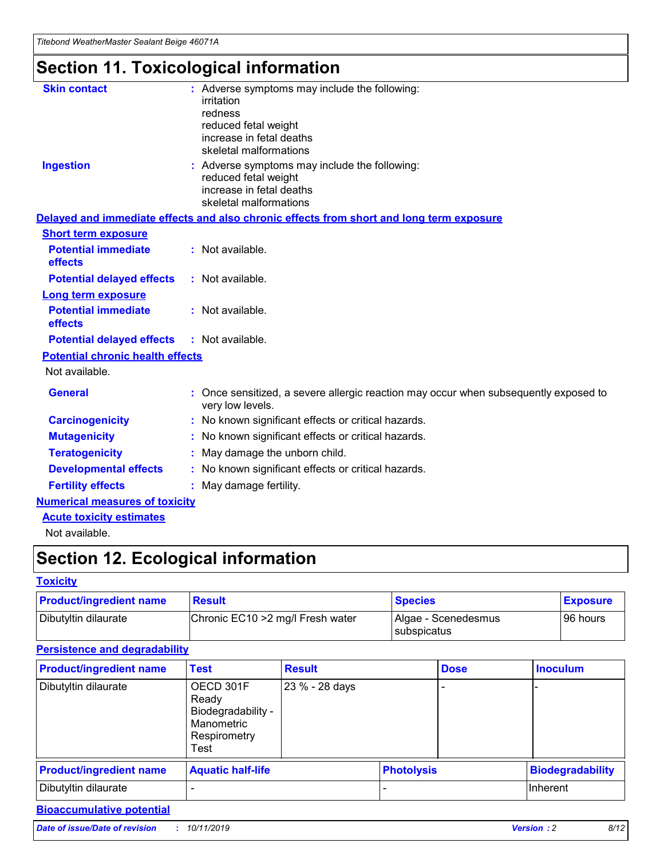# **Section 11. Toxicological information**

| <b>Skin contact</b>                     | : Adverse symptoms may include the following:                                                            |
|-----------------------------------------|----------------------------------------------------------------------------------------------------------|
|                                         | irritation                                                                                               |
|                                         | redness                                                                                                  |
|                                         | reduced fetal weight                                                                                     |
|                                         | increase in fetal deaths                                                                                 |
|                                         | skeletal malformations                                                                                   |
| <b>Ingestion</b>                        | : Adverse symptoms may include the following:                                                            |
|                                         | reduced fetal weight                                                                                     |
|                                         | increase in fetal deaths                                                                                 |
|                                         | skeletal malformations                                                                                   |
|                                         | Delayed and immediate effects and also chronic effects from short and long term exposure                 |
| <b>Short term exposure</b>              |                                                                                                          |
| <b>Potential immediate</b>              | : Not available.                                                                                         |
| effects                                 |                                                                                                          |
| <b>Potential delayed effects</b>        | : Not available.                                                                                         |
| Long term exposure                      |                                                                                                          |
| <b>Potential immediate</b>              | : Not available.                                                                                         |
| effects                                 |                                                                                                          |
| <b>Potential delayed effects</b>        | : Not available.                                                                                         |
| <b>Potential chronic health effects</b> |                                                                                                          |
| Not available.                          |                                                                                                          |
| <b>General</b>                          | : Once sensitized, a severe allergic reaction may occur when subsequently exposed to<br>very low levels. |
| <b>Carcinogenicity</b>                  | : No known significant effects or critical hazards.                                                      |
| <b>Mutagenicity</b>                     | : No known significant effects or critical hazards.                                                      |
| <b>Teratogenicity</b>                   | May damage the unborn child.                                                                             |
| <b>Developmental effects</b>            | : No known significant effects or critical hazards.                                                      |
| <b>Fertility effects</b>                | May damage fertility.                                                                                    |
| <b>Numerical measures of toxicity</b>   |                                                                                                          |
| <b>Acute toxicity estimates</b>         |                                                                                                          |
| الملحلة والمستحقق فالمرابط              |                                                                                                          |

Not available.

# **Section 12. Ecological information**

#### **Toxicity**

| <b>Product/ingredient name</b> | <b>Result</b>                     | <b>Species</b>                       | <b>Exposure</b> |
|--------------------------------|-----------------------------------|--------------------------------------|-----------------|
| Dibutyltin dilaurate           | Chronic EC10 > 2 mg/l Fresh water | Algae - Scenedesmus<br>I subspicatus | l 96 hours i    |

## **Persistence and degradability**

| <b>Product/ingredient name</b> | <b>Test</b>                                                                    | <b>Result</b>  |                   | <b>Dose</b> | <b>Inoculum</b>         |
|--------------------------------|--------------------------------------------------------------------------------|----------------|-------------------|-------------|-------------------------|
| Dibutyltin dilaurate           | OECD 301F<br>Ready<br>Biodegradability -<br>Manometric<br>Respirometry<br>Test | 23 % - 28 days |                   |             |                         |
| <b>Product/ingredient name</b> | <b>Aquatic half-life</b>                                                       |                | <b>Photolysis</b> |             | <b>Biodegradability</b> |
| Dibutyltin dilaurate           |                                                                                |                |                   |             | Inherent                |

## **Bioaccumulative potential**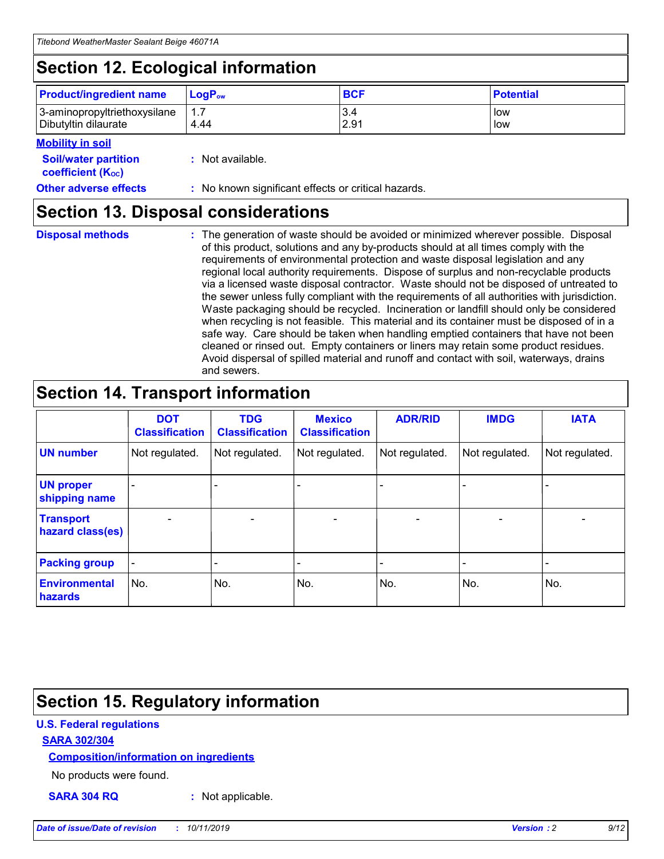# **Section 12. Ecological information**

| <b>Product/ingredient name</b> | $LoaPow$ | <b>BCF</b> | <b>Potential</b> |
|--------------------------------|----------|------------|------------------|
| 3-aminopropyltriethoxysilane   | 1.7      | 3.4        | low              |
| Dibutyltin dilaurate           | 4.44     | 2.91       | low              |

#### **Mobility in soil**

| <i></i>                                                       |                                                     |
|---------------------------------------------------------------|-----------------------------------------------------|
| <b>Soil/water partition</b><br>coefficient (K <sub>oc</sub> ) | : Not available.                                    |
| <b>Other adverse effects</b>                                  | : No known significant effects or critical hazards. |

## **Section 13. Disposal considerations**

**Disposal methods :**

The generation of waste should be avoided or minimized wherever possible. Disposal of this product, solutions and any by-products should at all times comply with the requirements of environmental protection and waste disposal legislation and any regional local authority requirements. Dispose of surplus and non-recyclable products via a licensed waste disposal contractor. Waste should not be disposed of untreated to the sewer unless fully compliant with the requirements of all authorities with jurisdiction. Waste packaging should be recycled. Incineration or landfill should only be considered when recycling is not feasible. This material and its container must be disposed of in a safe way. Care should be taken when handling emptied containers that have not been cleaned or rinsed out. Empty containers or liners may retain some product residues. Avoid dispersal of spilled material and runoff and contact with soil, waterways, drains and sewers.

# **Section 14. Transport information**

|                                      | <b>DOT</b><br><b>Classification</b> | <b>TDG</b><br><b>Classification</b> | <b>Mexico</b><br><b>Classification</b> | <b>ADR/RID</b> | <b>IMDG</b>              | <b>IATA</b>              |
|--------------------------------------|-------------------------------------|-------------------------------------|----------------------------------------|----------------|--------------------------|--------------------------|
| <b>UN number</b>                     | Not regulated.                      | Not regulated.                      | Not regulated.                         | Not regulated. | Not regulated.           | Not regulated.           |
| <b>UN proper</b><br>shipping name    | $\blacksquare$                      |                                     |                                        |                |                          |                          |
| <b>Transport</b><br>hazard class(es) | $\blacksquare$                      | $\overline{\phantom{a}}$            | $\blacksquare$                         | $\blacksquare$ | $\overline{\phantom{a}}$ | $\overline{\phantom{0}}$ |
| <b>Packing group</b>                 | $\overline{\phantom{a}}$            | $\overline{\phantom{0}}$            | $\overline{\phantom{a}}$               | -              | $\overline{\phantom{0}}$ | $\overline{\phantom{a}}$ |
| <b>Environmental</b><br>hazards      | No.                                 | No.                                 | No.                                    | No.            | No.                      | No.                      |

# **Section 15. Regulatory information**

### **U.S. Federal regulations**

#### **SARA 302/304**

#### **Composition/information on ingredients**

No products were found.

**SARA 304 RQ :** Not applicable.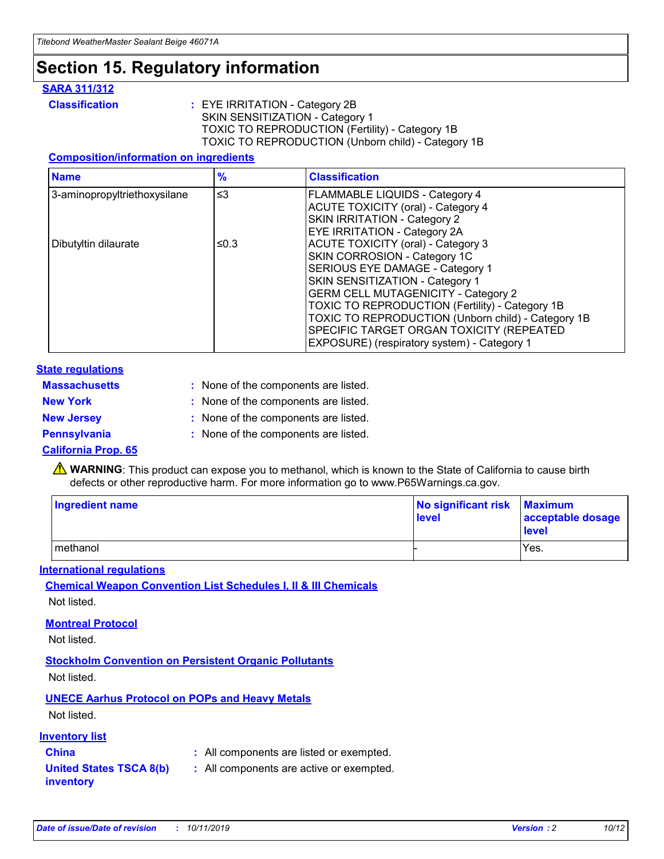# **Section 15. Regulatory information**

#### **SARA 311/312**

**Classification :** EYE IRRITATION - Category 2B SKIN SENSITIZATION - Category 1 TOXIC TO REPRODUCTION (Fertility) - Category 1B TOXIC TO REPRODUCTION (Unborn child) - Category 1B

#### **Composition/information on ingredients**

| <b>Name</b>                  | $\frac{9}{6}$ | <b>Classification</b>                                                                                            |
|------------------------------|---------------|------------------------------------------------------------------------------------------------------------------|
| 3-aminopropyltriethoxysilane | $\leq$ 3      | <b>FLAMMABLE LIQUIDS - Category 4</b><br><b>ACUTE TOXICITY (oral) - Category 4</b>                               |
|                              |               | SKIN IRRITATION - Category 2<br>EYE IRRITATION - Category 2A                                                     |
| Dibutyltin dilaurate         | ≤0.3          | ACUTE TOXICITY (oral) - Category 3<br>SKIN CORROSION - Category 1C                                               |
|                              |               | SERIOUS EYE DAMAGE - Category 1<br>SKIN SENSITIZATION - Category 1<br><b>GERM CELL MUTAGENICITY - Category 2</b> |
|                              |               | TOXIC TO REPRODUCTION (Fertility) - Category 1B<br>TOXIC TO REPRODUCTION (Unborn child) - Category 1B            |
|                              |               | SPECIFIC TARGET ORGAN TOXICITY (REPEATED<br>EXPOSURE) (respiratory system) - Category 1                          |

#### **State regulations**

| <b>Massachusetts</b> | : None of the components are listed. |
|----------------------|--------------------------------------|
| <b>New York</b>      | : None of the components are listed. |
| <b>New Jersey</b>    | : None of the components are listed. |
| <b>Pennsylvania</b>  | : None of the components are listed. |

#### **California Prop. 65**

**A** WARNING: This product can expose you to methanol, which is known to the State of California to cause birth defects or other reproductive harm. For more information go to www.P65Warnings.ca.gov.

| <b>Ingredient name</b> | No significant risk Maximum<br>level | acceptable dosage<br>level |
|------------------------|--------------------------------------|----------------------------|
| methanol               |                                      | Yes.                       |

#### **International regulations**

**Chemical Weapon Convention List Schedules I, II & III Chemicals** Not listed.

#### **Montreal Protocol**

Not listed.

#### **Stockholm Convention on Persistent Organic Pollutants**

Not listed.

## **UNECE Aarhus Protocol on POPs and Heavy Metals**

Not listed.

#### **Inventory list**

## **China :** All components are listed or exempted.

#### **United States TSCA 8(b) inventory :** All components are active or exempted.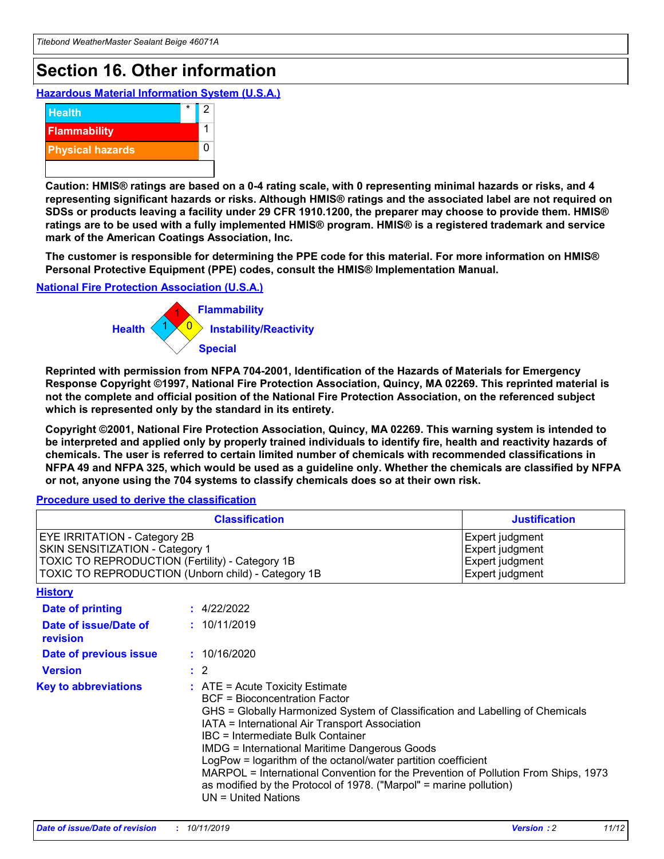# **Section 16. Other information**

**Hazardous Material Information System (U.S.A.)**



**Caution: HMIS® ratings are based on a 0-4 rating scale, with 0 representing minimal hazards or risks, and 4 representing significant hazards or risks. Although HMIS® ratings and the associated label are not required on SDSs or products leaving a facility under 29 CFR 1910.1200, the preparer may choose to provide them. HMIS® ratings are to be used with a fully implemented HMIS® program. HMIS® is a registered trademark and service mark of the American Coatings Association, Inc.**

**The customer is responsible for determining the PPE code for this material. For more information on HMIS® Personal Protective Equipment (PPE) codes, consult the HMIS® Implementation Manual.**

#### **National Fire Protection Association (U.S.A.)**



**Reprinted with permission from NFPA 704-2001, Identification of the Hazards of Materials for Emergency Response Copyright ©1997, National Fire Protection Association, Quincy, MA 02269. This reprinted material is not the complete and official position of the National Fire Protection Association, on the referenced subject which is represented only by the standard in its entirety.**

**Copyright ©2001, National Fire Protection Association, Quincy, MA 02269. This warning system is intended to be interpreted and applied only by properly trained individuals to identify fire, health and reactivity hazards of chemicals. The user is referred to certain limited number of chemicals with recommended classifications in NFPA 49 and NFPA 325, which would be used as a guideline only. Whether the chemicals are classified by NFPA or not, anyone using the 704 systems to classify chemicals does so at their own risk.**

**Procedure used to derive the classification**

| <b>Classification</b>                                                                                                                                                    |                                                                                                                                                  | <b>Justification</b>                                                                                                                                                                                                                                                                                                                                                                                                 |  |
|--------------------------------------------------------------------------------------------------------------------------------------------------------------------------|--------------------------------------------------------------------------------------------------------------------------------------------------|----------------------------------------------------------------------------------------------------------------------------------------------------------------------------------------------------------------------------------------------------------------------------------------------------------------------------------------------------------------------------------------------------------------------|--|
| EYE IRRITATION - Category 2B<br>SKIN SENSITIZATION - Category 1<br>TOXIC TO REPRODUCTION (Fertility) - Category 1B<br>TOXIC TO REPRODUCTION (Unborn child) - Category 1B |                                                                                                                                                  | Expert judgment<br>Expert judgment<br>Expert judgment<br>Expert judgment                                                                                                                                                                                                                                                                                                                                             |  |
| <b>History</b>                                                                                                                                                           |                                                                                                                                                  |                                                                                                                                                                                                                                                                                                                                                                                                                      |  |
| Date of printing                                                                                                                                                         | : 4/22/2022                                                                                                                                      |                                                                                                                                                                                                                                                                                                                                                                                                                      |  |
| Date of issue/Date of<br>revision                                                                                                                                        | : 10/11/2019                                                                                                                                     |                                                                                                                                                                                                                                                                                                                                                                                                                      |  |
| Date of previous issue                                                                                                                                                   | : 10/16/2020                                                                                                                                     |                                                                                                                                                                                                                                                                                                                                                                                                                      |  |
| <b>Version</b>                                                                                                                                                           | $\therefore$ 2                                                                                                                                   |                                                                                                                                                                                                                                                                                                                                                                                                                      |  |
| <b>Key to abbreviations</b>                                                                                                                                              | $\therefore$ ATE = Acute Toxicity Estimate<br><b>BCF</b> = Bioconcentration Factor<br>IBC = Intermediate Bulk Container<br>$UN = United Nations$ | GHS = Globally Harmonized System of Classification and Labelling of Chemicals<br>IATA = International Air Transport Association<br><b>IMDG = International Maritime Dangerous Goods</b><br>LogPow = logarithm of the octanol/water partition coefficient<br>MARPOL = International Convention for the Prevention of Pollution From Ships, 1973<br>as modified by the Protocol of 1978. ("Marpol" = marine pollution) |  |